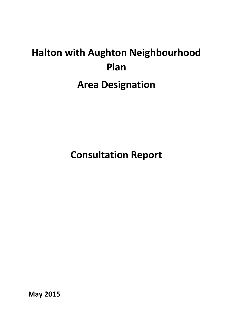# **Halton with Aughton Neighbourhood Plan Area Designation**

**Consultation Report**

**May 2015**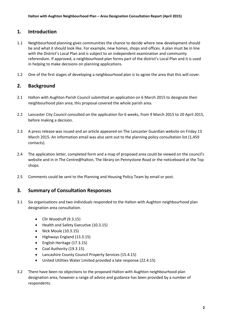## **1. Introduction**

- 1.1 Neighbourhood planning gives communities the chance to decide where new development should be and what it should look like. For example, new homes, shops and offices. A plan must be in line with the District's Local Plan and is subject to an independent examination and community referendum. If approved, a neighbourhood plan forms part of the district's Local Plan and it is used in helping to make decisions on planning applications.
- 1.2 One of the first stages of developing a neighbourhood plan is to agree the area that this will cover.

## **2. Background**

- 2.1 Halton with Aughton Parish Council submitted an application on 6 March 2015 to designate their neighbourhood plan area, this proposal covered the whole parish area.
- 2.2 Lancaster City Council consulted on the application for 6 weeks, from 9 March 2015 to 20 April 2015, before making a decision.
- 2.3 A press release was issued and an article appeared on The Lancaster Guardian website on Friday 13 March 2015. An information email was also sent out to the planning policy consultation list (1,459 contacts).
- 2.4 The application letter, completed form and a map of proposed area could be viewed on the council's website and in in The Centre@halton, The library on Pennystone Road or the noticeboard at the Top shops.
- 2.5 Comments could be sent to the Planning and Housing Policy Team by email or post.

## **3. Summary of Consultation Responses**

- 3.1 Six organisations and two individuals responded to the Halton with Aughton neighbourhood plan designation area consultation.
	- Cllr Woodruff (9.3.15)
	- Health and Safety Executive (10.3.15)
	- Nick Moule (10.3.15)
	- Highways England (13.3.15)
	- English Heritage (17.3.15)
	- Coal Authority (19.3.15)
	- Lancashire County Council Property Services (15.4.15)
	- United Utilities Water Limited provided a late response (22.4.15)
- 3.2 There have been no objections to the proposed Halton with Aughton neighbourhood plan designation area, however a range of advice and guidance has been provided by a number of respondents.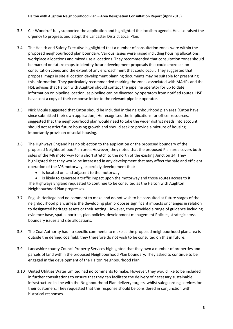- 3.3 Cllr Woodruff fully supported the application and highlighted the localism agenda. He also raised the urgency to progress and adopt the Lancaster District Local Plan.
- 3.4 The Health and Safety Executive highlighted that a number of consultation zones were within the proposed neighbourhood plan boundary. Various issues were raised including housing allocations, workplace allocations and mixed use allocations. They recommended that consultation zones should be marked on future maps to identify future development proposals that could encroach on consultation zones and the extent of any encroachment that could occur. They suggested that proposal maps in site allocation development planning documents may be suitable for presenting this information. They particularly recommended marking the zones associated with MAHPs and the HSE advises that Halton with Aughton should contact the pipeline operator for up to date information on pipeline location, as pipeline can be diverted by operators from notified routes. HSE have sent a copy of their response letter to the relevant pipeline operator.
- 3.5 Nick Moule suggested that Caton should be included in the neighbourhood plan area (Caton have since submitted their own application). He recognised the implications for officer resources, suggested that the neighbourhood plan would need to take the wider district needs into account, should not restrict future housing growth and should seek to provide a mixture of housing, importantly provision of social housing.
- 3.6 The Highways England has no objection to the application or the proposed boundary of the proposed Neighbourhood Plan area. However, they noted that the proposed Plan area covers both sides of the M6 motorway for a short stretch to the north of the existing Junction 34. They highlighted that they would be interested in any development that may affect the safe and efficient operation of the M6 motorway, especially development that:
	- is located on land adjacent to the motorway.
	- is likely to generate a traffic impact upon the motorway and those routes access to it. The Highways England requested to continue to be consulted as the Halton with Aughton

Neighbourhood Plan progresses.

- 3.7 English Heritage had no comment to make and do not wish to be consulted at future stages of the neighbourhood plan, unless the developing plan proposes significant impacts or changes in relation to designated heritage assets or their setting. However, they provided a range of guidance including evidence base, spatial portrait, plan policies, development management Policies, strategic cross boundary issues and site allocations.
- 3.8 The Coal Authority had no specific comments to make as the proposed neighbourhood plan area is outside the defined coalfield, they therefore do not wish to be consulted on this in future.
- 3.9 Lancashire county Council Property Services highlighted that they own a number of properties and parcels of land within the proposed Neighbourhood Plan boundary. They asked to continue to be engaged in the development of the Halton Neighbourhood Plan.
- 3.10 United Utilities Water Limited had no comments to make. However, they would like to be included in further consultations to ensure that they can facilitate the delivery of necessary sustainable infrastructure in line with the Neighbourhood Plan delivery targets, whilst safeguarding services for their customers. They requested that this response should be considered in conjunction with historical responses.